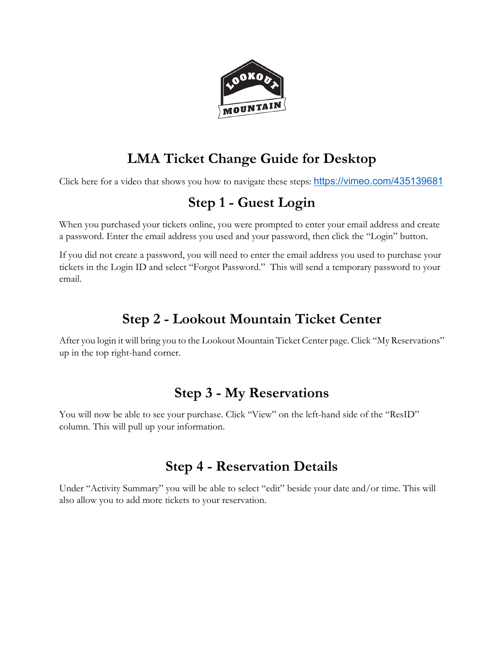

# **LMA Ticket Change Guide for Desktop**

Click here for a video that shows you how to navigate these steps: <https://vimeo.com/435139681>

# **Step 1 - Guest Login**

When you purchased your tickets online, you were prompted to enter your email address and create a password. Enter the email address you used and your password, then click the "Login" button.

If you did not create a password, you will need to enter the email address you used to purchase your tickets in the Login ID and select "Forgot Password." This will send a temporary password to your email.

# **Step 2 - Lookout Mountain Ticket Center**

After you login it will bring you to the Lookout Mountain Ticket Center page. Click "My Reservations" up in the top right-hand corner.

## **Step 3 - My Reservations**

You will now be able to see your purchase. Click "View" on the left-hand side of the "ResID" column. This will pull up your information.

## **Step 4 - Reservation Details**

Under "Activity Summary" you will be able to select "edit" beside your date and/or time. This will also allow you to add more tickets to your reservation.